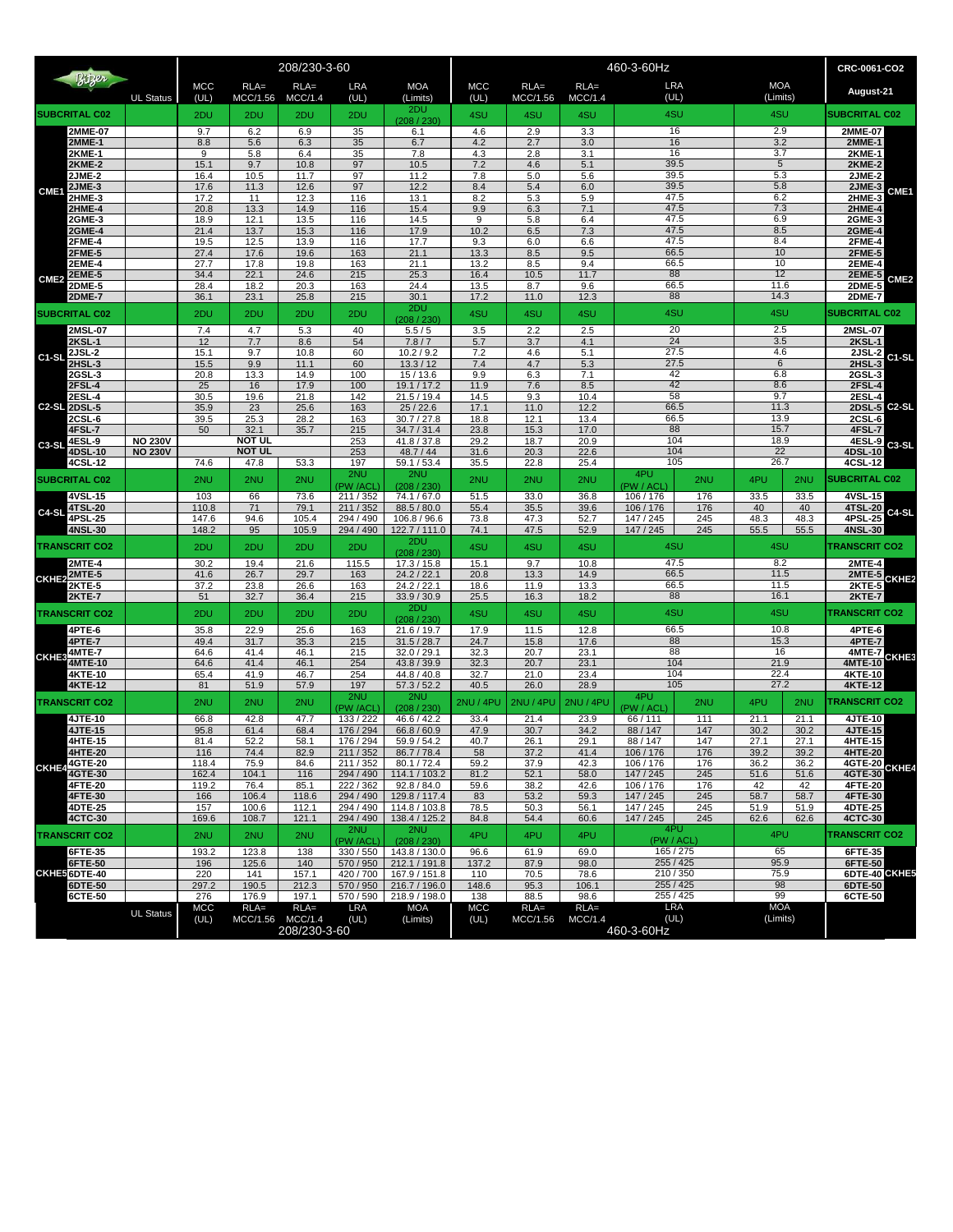| Bitzer<br><b>UL Status</b><br><b>SUBCRITAL C02</b> |                                |                  |                     | 208/230-3-60                     |                |                        | 460-3-60Hz                     |                    |                           |                    |                         |                        |                           | CRC-0061-CO2  |                                |                                     |
|----------------------------------------------------|--------------------------------|------------------|---------------------|----------------------------------|----------------|------------------------|--------------------------------|--------------------|---------------------------|--------------------|-------------------------|------------------------|---------------------------|---------------|--------------------------------|-------------------------------------|
|                                                    |                                | MCC<br>(UL)      | $RLA =$<br>MCC/1.56 | $RLA =$<br>MCC/1.4               | LRA<br>(UL)    | <b>MOA</b><br>(Limits) | <b>MCC</b><br>(UL)             | $RLA=$<br>MCC/1.56 | $RLA =$<br>MCC/1.4        | <b>LRA</b><br>(UL) |                         | <b>MOA</b><br>(Limits) |                           | August-21     |                                |                                     |
|                                                    |                                |                  | 2DU                 | 2DU                              | 2DU            | 2DU                    | 2DU<br>(208 / 230)             | 4SU                | 4SU                       | 4SU                | 4SU                     |                        | 4SU                       |               | <b>SUBCRITAL C02</b>           |                                     |
|                                                    | 2MME-07                        |                  | 9.7                 | 6.2                              | 6.9            | 35                     | 6.1                            | 4.6                | 2.9                       | 3.3                | 16                      |                        | 2.9                       |               | 2MME-07                        |                                     |
|                                                    | <b>2MME-1</b>                  |                  | 8.8<br>9            | 5.6                              | 6.3<br>6.4     | 35                     | 6.7<br>7.8                     | 4.2                | 2.7                       | 3.0                | 16<br>16                |                        | 3.2<br>3.7                |               | <b>2MME-1</b>                  |                                     |
| CME1                                               | 2KME-1<br>$2$ KME- $2$         |                  | 15.1                | 5.8<br>9.7                       | 10.8           | 35<br>97               | 10.5                           | 4.3<br>7.2         | 2.8<br>4.6                | 3.1<br>5.1         | 39.5                    |                        | 5                         |               | <b>2KME-1</b><br><b>2KME-2</b> |                                     |
|                                                    | 2JME-2                         |                  | 16.4                | 10.5                             | 11.7           | 97                     | 11.2                           | 7.8                | 5.0                       | 5.6                | 39.5                    |                        | 5.3                       |               | <b>2JME-2</b>                  |                                     |
|                                                    | 2JME-3                         |                  | 17.6                | 11.3                             | 12.6           | 97                     | 12.2                           | 8.4                | 5.4                       | 6.0                | 39.5                    |                        |                           | 5.8<br>6.2    |                                | 2JME-3<br>CME1                      |
|                                                    | 2HME-3<br><b>2HME-4</b>        |                  | 17.2<br>20.8        | 11<br>13.3                       | 12.3<br>14.9   | 116<br>116             | 13.1<br>15.4                   | 8.2<br>9.9         | 5.3<br>6.3                | 5.9<br>7.1         | 47.5<br>47.5            |                        | 7.3                       |               | 2HME-3<br>2HME-4               |                                     |
|                                                    | 2GME-3                         |                  | 18.9                | 12.1                             | 13.5           | 116                    | 14.5                           | 9                  | 5.8                       | 6.4                | 47.5                    |                        | 6.9                       |               | 2GME-3                         |                                     |
|                                                    | 2GME-4                         |                  | 21.4                | 13.7                             | 15.3           | 116                    | 17.9                           | 10.2               | 6.5                       | 7.3                | 47.5                    |                        | 8.5                       |               | <b>2GME-4</b>                  |                                     |
| CME <sub>2</sub>                                   | 2FME-4                         |                  | 19.5                | 12.5                             | 13.9           | 116<br>163             | 17.7                           | 9.3<br>13.3        | 6.0                       | 6.6                | 47.5                    |                        | 8.4                       |               | <b>2FME-4</b>                  |                                     |
|                                                    | 2FME-5<br>2EME-4               |                  | 27.4<br>27.7        | 17.6<br>17.8                     | 19.6<br>19.8   | 163                    | 21.1<br>21.1                   | 13.2               | 8.5<br>8.5                | 9.5<br>9.4         | 66.5<br>66.5            |                        | 10<br>10                  |               | <b>2FME-5</b><br><b>2EME-4</b> |                                     |
|                                                    | <b>2EME-5</b><br><b>2DME-5</b> |                  | 34.4<br>22.1        |                                  | 24.6<br>215    | 25.3                   | 16.4                           | 10.5               | 11.7                      | 88                 |                         | 12                     |                           | <b>2EME-5</b> | CME <sub>2</sub>               |                                     |
|                                                    |                                |                  | 28.4<br>36.1        | 18.2                             | 20.3           | 163                    | 24.4                           | 13.5               | 8.7                       | 9.6                | 66.5<br>88              |                        | 11.6<br>14.3              |               | <b>2DME-5</b>                  |                                     |
|                                                    | <b>2DME-7</b>                  |                  |                     | 23.1                             | 25.8           | 215                    | 30.1<br>2DU                    | 17.2               | 11.0                      | 12.3               |                         |                        |                           |               |                                | <b>2DME-7</b>                       |
|                                                    | <b>SUBCRITAL C02</b>           |                  | 2DU                 | 2DU                              | 2DU            | 2DU                    | 208 / 230                      | 4SU                | 4SU                       | 4SU                | 4SU                     |                        | 4SU                       |               | <b>SUBCRITAL C02</b>           |                                     |
|                                                    | 2MSL-07                        |                  | 7.4<br>12           | 4.7<br>7.7                       | 5.3            | 40<br>54               | 5.5/5<br>7.8/7                 | 3.5                | 2.2                       | 2.5                | 20                      |                        | 2.5<br>3.5                |               | 2MSL-07<br><b>2KSL-1</b>       |                                     |
|                                                    | <b>2KSL-1</b><br>2JSL-2        |                  | 15.1                | 9.7                              | 8.6<br>10.8    | 60                     | 10.2 / 9.2                     | 5.7<br>7.2         | 3.7<br>4.6                | 4.1<br>5.1         | 24<br>27.5              |                        | 4.6                       |               | 2JSL-2                         |                                     |
| C1-SL                                              | 2HSL-3                         |                  | 15.5                | 9.9                              | 11.1           | 60                     | 13.3 / 12                      | 7.4                | 4.7                       | 5.3                | 27.5                    |                        | 6                         |               | 2HSL-3                         | C1-SL                               |
|                                                    | 2GSL-3                         |                  | 20.8                | 13.3                             | 14.9           | 100                    | 15 / 13.6                      | 9.9                | 6.3                       | 7.1                | 42                      |                        | 6.8                       |               | 2GSL-3<br>2FSL-4               |                                     |
|                                                    | 2FSL-4<br>2ESL-4               |                  | 25<br>30.5          | 16<br>19.6                       | 17.9<br>21.8   | 100<br>142             | 19.1 / 17.2<br>21.5/19.4       | 11.9<br>14.5       | 7.6<br>9.3                | 8.5<br>10.4        |                         | 42<br>58               |                           | 8.6<br>9.7    |                                |                                     |
|                                                    | <b>C2-SL 2DSL-5</b>            |                  | 35.9                | 23                               | 25.6           | 163                    | 25/22.6                        | 17.1               | 11.0                      | 12.2               | 66.5                    |                        | 11.3                      |               | 2ESL-4<br>2DSL-5               | C <sub>2</sub> -SL                  |
|                                                    | 2CSL-6                         |                  | 39.5                | 25.3                             | 28.2           | 163                    | 30.7 / 27.8                    | 18.8               | 12.1                      | 13.4               | 66.5                    |                        | 13.9                      |               | $2CSL-6$                       |                                     |
|                                                    | 4FSL-7                         | <b>NO 230V</b>   | 50                  | 32.1<br>NOT UL                   | 35.7           | 215<br>253             | 34.7 / 31.4<br>41.8 / 37.8     | 23.8<br>29.2       | 15.3<br>18.7              | 17.0<br>20.9       | 88<br>104               |                        | 15.7<br>18.9              |               | 4FSL-7<br>4ESL-9               |                                     |
| C <sub>3</sub> -SL                                 | 4ESI-9<br>4DSL-10              | <b>NO 230V</b>   |                     | <b>NOT UL</b>                    |                | 253                    | 48.7 / 44                      | 31.6               | 20.3                      | 22.6               | 104                     |                        | 22                        |               | 4DSL-10                        | C <sub>3</sub> -SL                  |
|                                                    | 4CSL-12                        |                  | 74.6                | 47.8                             | 53.3           | 197                    | 59.1 / 53.4                    | 35.5               | 22.8                      | 25.4               | 105                     |                        | 26.7                      |               | 4CSL-12                        |                                     |
|                                                    | <b>SUBCRITAL C02</b>           |                  | 2NU                 | 2NU                              | 2NU            | 2NU<br>PW /ACI         | 2NU<br>(208/230)               | 2NU                | 2NU                       | 2NU                | 4PU<br>(PW / ACL        | 2NU                    | 4PU                       | 2NU           | <b>SUBCRITAL C02</b>           |                                     |
|                                                    | $4VSI - 15$                    |                  | 103                 | 66                               | 73.6           | 211/352                | $\overline{74.1/67.0}$         | 51.5               | 33.0                      | 36.8               | 106 / 176               | 176                    | 33.5                      | 33.5          | 4VSL-15                        |                                     |
| C4-SL                                              | 4TSL-20                        |                  | 110.8               | 71                               | 79.1           | 211/352                | 88.5 / 80.0                    | 55.4               | 35.5                      | 39.6               | 106/176                 | 176                    | 40                        | 40            | 4TSL-20                        | C4-SL                               |
|                                                    | 4PSL-25<br>4NSL-30             |                  | 147.6<br>148.2      | 94.6<br>95                       | 105.4<br>105.9 | 294 / 490<br>294 / 490 | 106.8 / 96.6<br>122.7 / 111.0  | 73.8<br>74.1       | $\overline{47.3}$<br>47.5 | 52.7<br>52.9       | 147 / 245<br>147 / 245  | 245<br>245             | 48.3<br>55.5              | 48.3<br>55.5  | 4PSL-25<br>4NSL-30             |                                     |
|                                                    | <b>TRANSCRIT CO2</b>           |                  | 2DU                 | 2DU                              | 2DU            | 2DU                    | 2DU                            | 4SU                | 4SU                       | 4SU                | 4SU                     |                        | 4SU                       |               | <b>TRANSCRIT CO2</b>           |                                     |
|                                                    | 2MTE-4                         |                  | 30.2                | 19.4                             | 21.6           | 115.5                  | (208/230)<br>17.3 / 15.8       | 15.1               | 9.7                       | 10.8               | 47.5                    |                        | 8.2                       |               | <b>2MTE-4</b>                  |                                     |
| CKHE <sub>2</sub>                                  | <b>2MTE-5</b>                  |                  | 41.6                | 26.7                             | 29.7           | 163                    | 24.2 / 22.1                    | 20.8               | 13.3                      | 14.9               | 66.5                    |                        | 11.5                      |               | <b>2MTE-5</b>                  | CKHE <sub>2</sub>                   |
|                                                    | 2KTE-5<br><b>2KTE-7</b>        |                  | 37.2<br>51          | 23.8<br>32.7                     | 26.6<br>36.4   | 163<br>215             | 24.2 / 22.1<br>33.9 / 30.9     | 18.6<br>25.5       | 11.9<br>16.3              | 13.3<br>18.2       | 66.5<br>88              |                        | 11.5<br>16.1              |               | 2KTE-5<br><b>2KTE-7</b>        |                                     |
|                                                    |                                |                  |                     |                                  |                |                        | 2DU                            |                    |                           |                    |                         |                        |                           |               |                                |                                     |
|                                                    | <b>TRANSCRIT CO2</b><br>4PTE-6 |                  | 2DU<br>35.8         | 2DU<br>22.9                      | 2DU<br>25.6    | 2DU<br>163             | (208/230)<br>21.6 / 19.7       | 4SU<br>17.9        | 4SU<br>11.5               | 4SU<br>12.8        | 4SU<br>66.5<br>88<br>88 |                        | 4SU<br>10.8<br>15.3<br>16 |               | <b>TRANSCRIT CO2</b>           |                                     |
|                                                    | 4PTE-7                         |                  | 49.4                | 31.7                             | 35.3           | 215                    | 31.5 / 28.7                    | 24.7               | 15.8                      | 17.6               |                         |                        |                           |               |                                | $4$ PTE-6<br>4PTE-7<br>4MTE-7 CKHES |
| <b>CKHE3</b>                                       | <b>4MTE-7</b>                  |                  | 64.6                | 41.4                             | 46.1           | 215                    | 32.0 / 29.1                    | 32.3               | 20.7                      | 23.1               |                         |                        |                           |               |                                |                                     |
|                                                    | 4MTE-10<br>4KTE-10             |                  | 64.6<br>65.4        | 41.4<br>41.9                     | 46.1<br>46.7   | 254<br>254             | 43.8 / 39.9<br>44.8 / 40.8     | 32.3<br>32.7       | 20.7<br>21.0              | 23.1<br>23.4       | 104<br>104              |                        | 21.9<br>22.4              |               | <b>4MTE-10</b><br>4KTE-10      |                                     |
|                                                    | <b>4KTE-12</b>                 |                  | 81                  | 51.9                             | 57.9           | 197                    | 57.3 / 52.2                    | 40.5               | 26.0                      | 28.9               | 105                     |                        | 27.2                      |               | 4KTE-12                        |                                     |
|                                                    | <b>TRANSCRIT CO2</b>           |                  | 2NU                 | 2NU                              | 2NU            | 2NU<br><b>PW /ACI</b>  | 2NU<br>(208/230)               | 2NU / 4PU          | <b>2NU / 4PU</b>          | <b>2NU / 4PU</b>   | 4PU<br>(PW / ACI        | 2NU                    | 4PU                       | 2NU           | <b>TRANSCRIT CO2</b>           |                                     |
|                                                    | 4JTE-10                        |                  | 66.8                | 42.8                             | 47.7           | 133 / 222              | 46.6 / 42.2                    | 33.4               | 21.4                      | 23.9               | 66 / 111                | 111                    | 21.1                      | 21.1          | 4JTE-10                        |                                     |
| CKHE4 <sup>4GTE-20</sup>                           | 4JTE-15                        |                  | 95.8                | 61.4                             | 68.4           | 176 / 294              | 66.8 / 60.9                    | 47.9               | 30.7                      | 34.2               | 88/147                  | 147                    | 30.2                      | 30.2          | 4JTE-15                        |                                     |
|                                                    | 4HTE-15<br>4HTE-20             |                  | 81.4<br>116         | 52.2<br>74.4                     | 58.1<br>82.9   | 176 / 294<br>211/352   | 59.9 / 54.2<br>86.7/78.4       | 40.7               | 26.1<br>37.2              | 29.1<br>41.4       | 88 / 147<br>106 / 176   | 147                    | 27.1                      | 27.1          | 4HTE-15<br>4HTE-20             |                                     |
|                                                    |                                |                  | 118.4               | 75.9                             | 84.6           | 211/352                | 80.1/72.4                      | 58<br>59.2         | 37.9                      | 42.3               | 106 / 176               | 176<br>176             | 39.2<br>36.2              | 39.2<br>36.2  |                                | 4GTE-20 CKHE4                       |
|                                                    | 4GTE-30                        |                  | 162.4               | 104.1                            | 116            | 294 / 490              | 114.1 / 103.2                  | 81.2               | 52.1                      | 58.0               | 147 / 245               | 245                    | 51.6                      | 51.6          | 4GTE-30                        |                                     |
|                                                    | <b>4FTE-20</b>                 |                  | 119.2               | 76.4                             | 85.1           | 222 / 362              | 92.8 / 84.0                    | 59.6               | 38.2                      | 42.6               | 106/176                 | 176                    | 42                        | 42            | 4FTE-20                        |                                     |
|                                                    | 4FTE-30<br>4DTE-25             |                  | 166<br>157          | 106.4<br>100.6                   | 118.6<br>112.1 | 294 / 490<br>294 / 490 | 129.8 / 117.4<br>114.8 / 103.8 | 83<br>78.5         | 53.2<br>50.3              | 59.3<br>56.1       | 147 / 245<br>147 / 245  | 245<br>245             | 58.7<br>51.9              | 58.7<br>51.9  | 4FTE-30<br>4DTE-25             |                                     |
|                                                    | <b>4CTC-30</b>                 |                  | 169.6               | 108.7                            | 121.1          | 294 / 490              | 138.4 / 125.2                  | 84.8               | 54.4                      | 60.6               | 147 / 245               | 245                    | 62.6                      | 62.6          | <b>4CTC-30</b>                 |                                     |
| <b>TRANSCRIT CO2</b>                               |                                |                  | 2NU                 |                                  | 2NU<br>2NU     | 2NU<br>PW /ACL         | 2NU<br>(208/230)               | 4PU                | 4PU                       | 4PU                | 4PU<br>(PW / ACL)       |                        | 4PU                       |               | <b>TRANSCRIT CO2</b>           |                                     |
|                                                    | 6FTE-35                        |                  | 193.2               | 123.8                            | 138            | 330 / 550              | 143.8 / 130.0                  | 96.6               | 61.9                      | 69.0               | 165/275                 |                        | 65                        |               | 6FTE-35                        |                                     |
|                                                    | 6FTE-50                        |                  | 196                 | 125.6                            | 140            | 570 / 950              | 212.1 / 191.8                  | 137.2              | 87.9                      | 98.0               | 255 / 425               |                        | 95.9                      |               | 6FTE-50                        |                                     |
|                                                    | CKHE 6DTE-40<br>6DTE-50        |                  | 220<br>297.2        | 141<br>190.5                     | 157.1<br>212.3 | 420 / 700<br>570 / 950 | 167.9 / 151.8<br>216.7 / 196.0 | 110<br>148.6       | 70.5<br>95.3              | 78.6<br>106.1      | 210/350<br>255 / 425    |                        | 75.9<br>98                |               |                                | 6DTE-40 CKHE<br>6DTE-50             |
|                                                    | 6CTE-50                        |                  | 276                 | 176.9                            | 197.1          | 570 / 590              | 218.9 / 198.0                  | 138                | 88.5                      | 98.6               | 255 / 425               |                        | 99                        |               | 6CTE-50                        |                                     |
|                                                    |                                | <b>UL Status</b> | MCC                 | $RLA =$                          | $RLA =$        | LRA                    | <b>MOA</b>                     | MCC                | $RLA=$                    | $RLA =$            | LRA                     |                        | <b>MOA</b>                |               |                                |                                     |
|                                                    |                                |                  | (UL)                | MCC/1.56 MCC/1.4<br>208/230-3-60 |                | (UL)<br>(Limits)       |                                | (UL)               | MCC/1.4<br>MCC/1.56       |                    | (UL)<br>460-3-60Hz      |                        | (Limits)                  |               |                                |                                     |